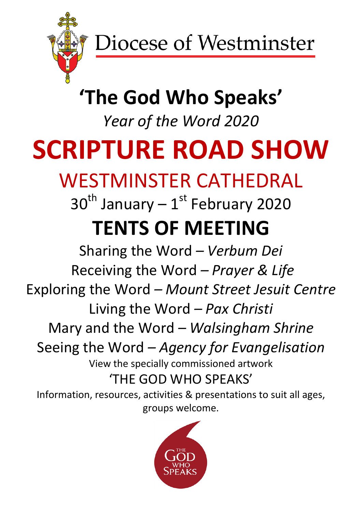

### **'The God Who Speaks'**

*Year of the Word 2020*

# **SCRIPTURE ROAD SHOW**

### WESTMINSTER CATHEDRAL

## $30<sup>th</sup>$  January –  $1<sup>st</sup>$  February 2020 **TENTS OF MEETING**

Sharing the Word *– Verbum Dei* Receiving the Word *– Prayer & Life* Exploring the Word *– Mount Street Jesuit Centre* Living the Word *– Pax Christi* Mary and the Word *– Walsingham Shrine* Seeing the Word *– Agency for Evangelisation* View the specially commissioned artwork 'THE GOD WHO SPEAKS' Information, resources, activities & presentations to suit all ages,

groups welcome.